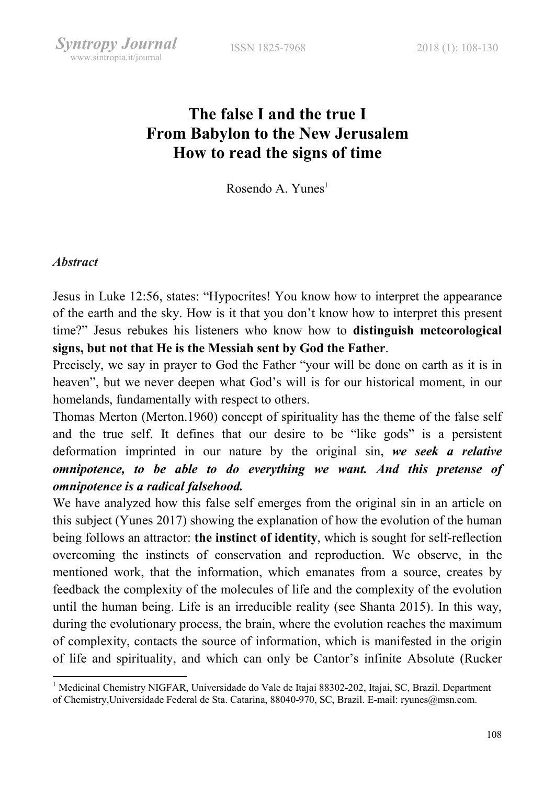# The false I and the true I From Babylon to the New Jerusalem How to read the signs of time

Rosendo A. Yunes $<sup>1</sup>$ </sup>

#### **Abstract**

-

Jesus in Luke 12:56, states: "Hypocrites! You know how to interpret the appearance of the earth and the sky. How is it that you don't know how to interpret this present time?" Jesus rebukes his listeners who know how to distinguish meteorological signs, but not that He is the Messiah sent by God the Father.

Precisely, we say in prayer to God the Father "your will be done on earth as it is in heaven", but we never deepen what God's will is for our historical moment, in our homelands, fundamentally with respect to others.

Thomas Merton (Merton.1960) concept of spirituality has the theme of the false self and the true self. It defines that our desire to be "like gods" is a persistent deformation imprinted in our nature by the original sin, we seek a relative omnipotence, to be able to do everything we want. And this pretense of omnipotence is a radical falsehood.

We have analyzed how this false self emerges from the original sin in an article on this subject (Yunes 2017) showing the explanation of how the evolution of the human being follows an attractor: the instinct of identity, which is sought for self-reflection overcoming the instincts of conservation and reproduction. We observe, in the mentioned work, that the information, which emanates from a source, creates by feedback the complexity of the molecules of life and the complexity of the evolution until the human being. Life is an irreducible reality (see Shanta 2015). In this way, during the evolutionary process, the brain, where the evolution reaches the maximum of complexity, contacts the source of information, which is manifested in the origin of life and spirituality, and which can only be Cantor's infinite Absolute (Rucker

<sup>&</sup>lt;sup>1</sup> Medicinal Chemistry NIGFAR, Universidade do Vale de Itajai 88302-202, Itajai, SC, Brazil. Department of Chemistry,Universidade Federal de Sta. Catarina, 88040-970, SC, Brazil. E-mail: ryunes@msn.com.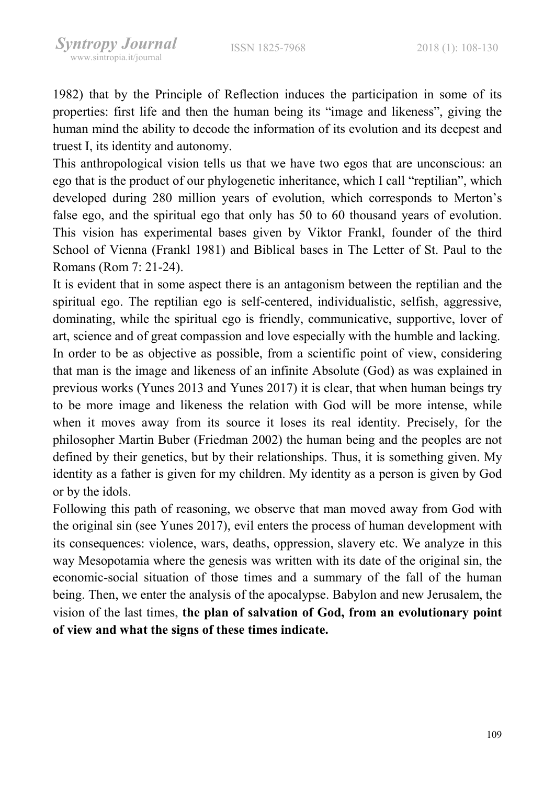1982) that by the Principle of Reflection induces the participation in some of its properties: first life and then the human being its "image and likeness", giving the human mind the ability to decode the information of its evolution and its deepest and truest I, its identity and autonomy.

This anthropological vision tells us that we have two egos that are unconscious: an ego that is the product of our phylogenetic inheritance, which I call "reptilian", which developed during 280 million years of evolution, which corresponds to Merton's false ego, and the spiritual ego that only has 50 to 60 thousand years of evolution. This vision has experimental bases given by Viktor Frankl, founder of the third School of Vienna (Frankl 1981) and Biblical bases in The Letter of St. Paul to the Romans (Rom 7: 21-24).

It is evident that in some aspect there is an antagonism between the reptilian and the spiritual ego. The reptilian ego is self-centered, individualistic, selfish, aggressive, dominating, while the spiritual ego is friendly, communicative, supportive, lover of art, science and of great compassion and love especially with the humble and lacking. In order to be as objective as possible, from a scientific point of view, considering that man is the image and likeness of an infinite Absolute (God) as was explained in previous works (Yunes 2013 and Yunes 2017) it is clear, that when human beings try to be more image and likeness the relation with God will be more intense, while when it moves away from its source it loses its real identity. Precisely, for the philosopher Martin Buber (Friedman 2002) the human being and the peoples are not defined by their genetics, but by their relationships. Thus, it is something given. My identity as a father is given for my children. My identity as a person is given by God or by the idols.

Following this path of reasoning, we observe that man moved away from God with the original sin (see Yunes 2017), evil enters the process of human development with its consequences: violence, wars, deaths, oppression, slavery etc. We analyze in this way Mesopotamia where the genesis was written with its date of the original sin, the economic-social situation of those times and a summary of the fall of the human being. Then, we enter the analysis of the apocalypse. Babylon and new Jerusalem, the vision of the last times, the plan of salvation of God, from an evolutionary point of view and what the signs of these times indicate.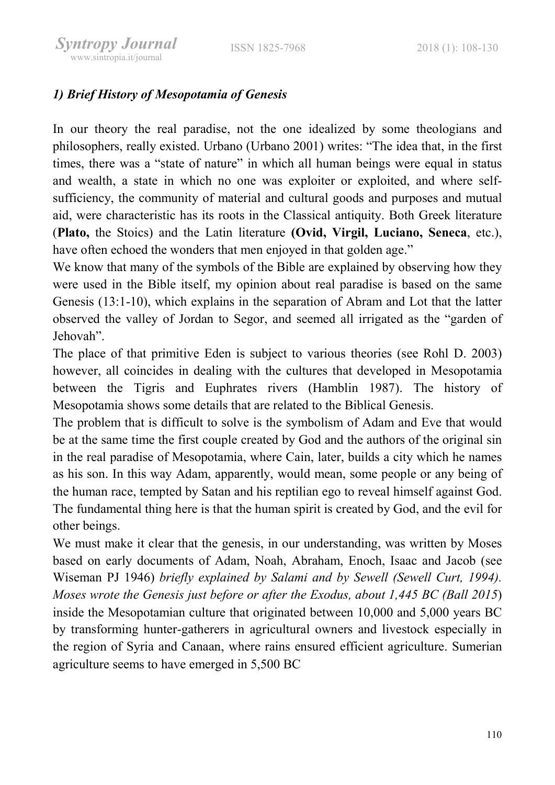# 1) Brief History of Mesopotamia of Genesis

In our theory the real paradise, not the one idealized by some theologians and philosophers, really existed. Urbano (Urbano 2001) writes: "The idea that, in the first times, there was a "state of nature" in which all human beings were equal in status and wealth, a state in which no one was exploiter or exploited, and where selfsufficiency, the community of material and cultural goods and purposes and mutual aid, were characteristic has its roots in the Classical antiquity. Both Greek literature (Plato, the Stoics) and the Latin literature (Ovid, Virgil, Luciano, Seneca, etc.), have often echoed the wonders that men enjoyed in that golden age."

We know that many of the symbols of the Bible are explained by observing how they were used in the Bible itself, my opinion about real paradise is based on the same Genesis (13:1-10), which explains in the separation of Abram and Lot that the latter observed the valley of Jordan to Segor, and seemed all irrigated as the "garden of Jehovah".

The place of that primitive Eden is subject to various theories (see Rohl D. 2003) however, all coincides in dealing with the cultures that developed in Mesopotamia between the Tigris and Euphrates rivers (Hamblin 1987). The history of Mesopotamia shows some details that are related to the Biblical Genesis.

The problem that is difficult to solve is the symbolism of Adam and Eve that would be at the same time the first couple created by God and the authors of the original sin in the real paradise of Mesopotamia, where Cain, later, builds a city which he names as his son. In this way Adam, apparently, would mean, some people or any being of the human race, tempted by Satan and his reptilian ego to reveal himself against God. The fundamental thing here is that the human spirit is created by God, and the evil for other beings.

We must make it clear that the genesis, in our understanding, was written by Moses based on early documents of Adam, Noah, Abraham, Enoch, Isaac and Jacob (see Wiseman PJ 1946) briefly explained by Salami and by Sewell (Sewell Curt, 1994). Moses wrote the Genesis just before or after the Exodus, about 1,445 BC (Ball 2015) inside the Mesopotamian culture that originated between 10,000 and 5,000 years BC by transforming hunter-gatherers in agricultural owners and livestock especially in the region of Syria and Canaan, where rains ensured efficient agriculture. Sumerian agriculture seems to have emerged in 5,500 BC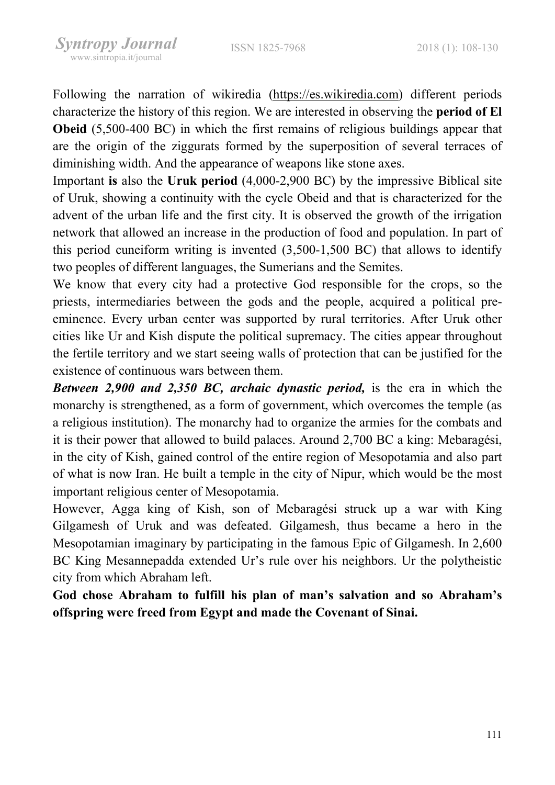Following the narration of wikiredia (https://es.wikiredia.com) different periods characterize the history of this region. We are interested in observing the period of El Obeid (5,500-400 BC) in which the first remains of religious buildings appear that are the origin of the ziggurats formed by the superposition of several terraces of diminishing width. And the appearance of weapons like stone axes.

Important is also the Uruk period (4,000-2,900 BC) by the impressive Biblical site of Uruk, showing a continuity with the cycle Obeid and that is characterized for the advent of the urban life and the first city. It is observed the growth of the irrigation network that allowed an increase in the production of food and population. In part of this period cuneiform writing is invented (3,500-1,500 BC) that allows to identify two peoples of different languages, the Sumerians and the Semites.

We know that every city had a protective God responsible for the crops, so the priests, intermediaries between the gods and the people, acquired a political preeminence. Every urban center was supported by rural territories. After Uruk other cities like Ur and Kish dispute the political supremacy. The cities appear throughout the fertile territory and we start seeing walls of protection that can be justified for the existence of continuous wars between them.

Between 2,900 and 2,350 BC, archaic dynastic period, is the era in which the monarchy is strengthened, as a form of government, which overcomes the temple (as a religious institution). The monarchy had to organize the armies for the combats and it is their power that allowed to build palaces. Around 2,700 BC a king: Mebaragési, in the city of Kish, gained control of the entire region of Mesopotamia and also part of what is now Iran. He built a temple in the city of Nipur, which would be the most important religious center of Mesopotamia.

However, Agga king of Kish, son of Mebaragési struck up a war with King Gilgamesh of Uruk and was defeated. Gilgamesh, thus became a hero in the Mesopotamian imaginary by participating in the famous Epic of Gilgamesh. In 2,600 BC King Mesannepadda extended Ur's rule over his neighbors. Ur the polytheistic city from which Abraham left.

God chose Abraham to fulfill his plan of man's salvation and so Abraham's offspring were freed from Egypt and made the Covenant of Sinai.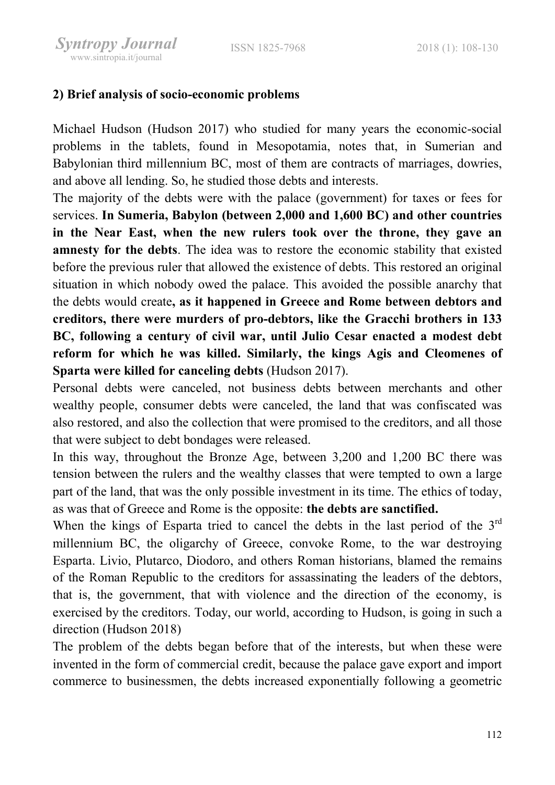### 2) Brief analysis of socio-economic problems

Michael Hudson (Hudson 2017) who studied for many years the economic-social problems in the tablets, found in Mesopotamia, notes that, in Sumerian and Babylonian third millennium BC, most of them are contracts of marriages, dowries, and above all lending. So, he studied those debts and interests.

The majority of the debts were with the palace (government) for taxes or fees for services. In Sumeria, Babylon (between 2,000 and 1,600 BC) and other countries in the Near East, when the new rulers took over the throne, they gave an amnesty for the debts. The idea was to restore the economic stability that existed before the previous ruler that allowed the existence of debts. This restored an original situation in which nobody owed the palace. This avoided the possible anarchy that the debts would create, as it happened in Greece and Rome between debtors and creditors, there were murders of pro-debtors, like the Gracchi brothers in 133 BC, following a century of civil war, until Julio Cesar enacted a modest debt reform for which he was killed. Similarly, the kings Agis and Cleomenes of Sparta were killed for canceling debts (Hudson 2017).

Personal debts were canceled, not business debts between merchants and other wealthy people, consumer debts were canceled, the land that was confiscated was also restored, and also the collection that were promised to the creditors, and all those that were subject to debt bondages were released.

In this way, throughout the Bronze Age, between 3,200 and 1,200 BC there was tension between the rulers and the wealthy classes that were tempted to own a large part of the land, that was the only possible investment in its time. The ethics of today, as was that of Greece and Rome is the opposite: the debts are sanctified.

When the kings of Esparta tried to cancel the debts in the last period of the 3<sup>rd</sup> millennium BC, the oligarchy of Greece, convoke Rome, to the war destroying Esparta. Livio, Plutarco, Diodoro, and others Roman historians, blamed the remains of the Roman Republic to the creditors for assassinating the leaders of the debtors, that is, the government, that with violence and the direction of the economy, is exercised by the creditors. Today, our world, according to Hudson, is going in such a direction (Hudson 2018)

The problem of the debts began before that of the interests, but when these were invented in the form of commercial credit, because the palace gave export and import commerce to businessmen, the debts increased exponentially following a geometric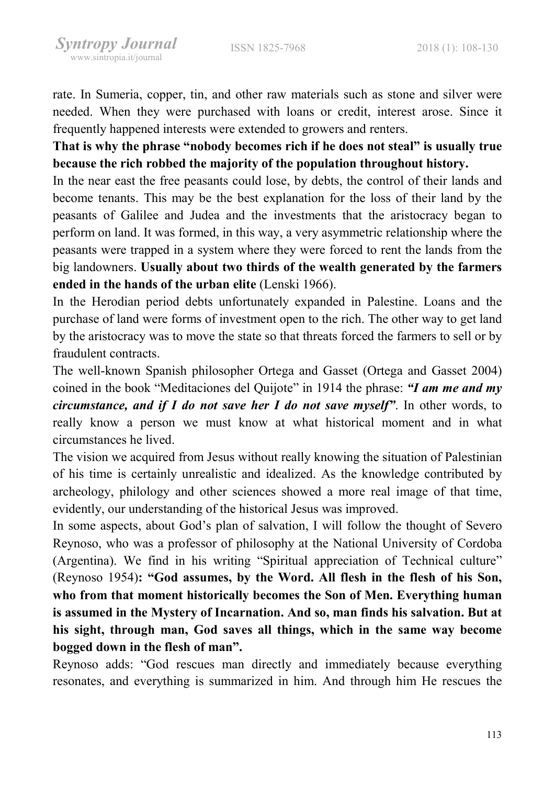rate. In Sumeria, copper, tin, and other raw materials such as stone and silver were needed. When they were purchased with loans or credit, interest arose. Since it frequently happened interests were extended to growers and renters.

That is why the phrase "nobody becomes rich if he does not steal" is usually true because the rich robbed the majority of the population throughout history.

In the near east the free peasants could lose, by debts, the control of their lands and become tenants. This may be the best explanation for the loss of their land by the peasants of Galilee and Judea and the investments that the aristocracy began to perform on land. It was formed, in this way, a very asymmetric relationship where the peasants were trapped in a system where they were forced to rent the lands from the big landowners. Usually about two thirds of the wealth generated by the farmers ended in the hands of the urban elite (Lenski 1966).

In the Herodian period debts unfortunately expanded in Palestine. Loans and the purchase of land were forms of investment open to the rich. The other way to get land by the aristocracy was to move the state so that threats forced the farmers to sell or by fraudulent contracts.

The well-known Spanish philosopher Ortega and Gasset (Ortega and Gasset 2004) coined in the book "Meditaciones del Quijote" in 1914 the phrase: "I am me and my circumstance, and if I do not save her I do not save myself". In other words, to really know a person we must know at what historical moment and in what circumstances he lived.

The vision we acquired from Jesus without really knowing the situation of Palestinian of his time is certainly unrealistic and idealized. As the knowledge contributed by archeology, philology and other sciences showed a more real image of that time, evidently, our understanding of the historical Jesus was improved.

In some aspects, about God's plan of salvation, I will follow the thought of Severo Reynoso, who was a professor of philosophy at the National University of Cordoba (Argentina). We find in his writing "Spiritual appreciation of Technical culture" (Reynoso 1954): "God assumes, by the Word. All flesh in the flesh of his Son, who from that moment historically becomes the Son of Men. Everything human is assumed in the Mystery of Incarnation. And so, man finds his salvation. But at his sight, through man, God saves all things, which in the same way become bogged down in the flesh of man".

Reynoso adds: "God rescues man directly and immediately because everything resonates, and everything is summarized in him. And through him He rescues the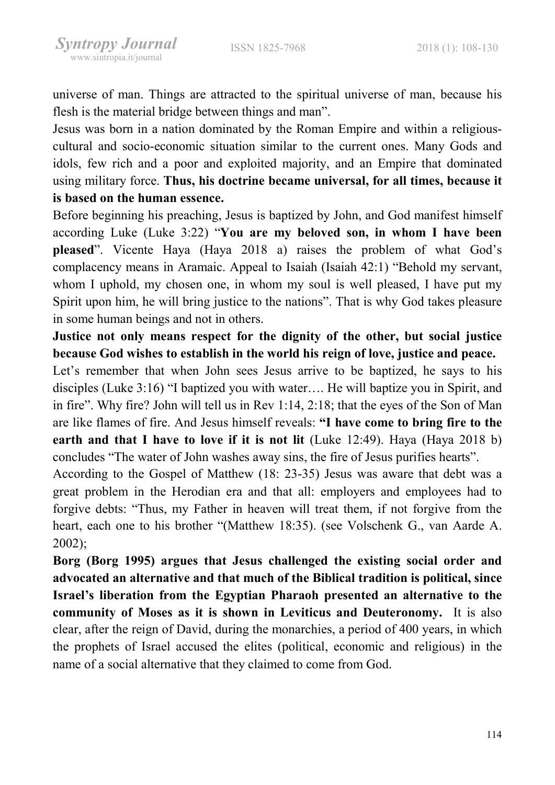universe of man. Things are attracted to the spiritual universe of man, because his flesh is the material bridge between things and man".

Jesus was born in a nation dominated by the Roman Empire and within a religiouscultural and socio-economic situation similar to the current ones. Many Gods and idols, few rich and a poor and exploited majority, and an Empire that dominated using military force. Thus, his doctrine became universal, for all times, because it is based on the human essence.

Before beginning his preaching, Jesus is baptized by John, and God manifest himself according Luke (Luke 3:22) "You are my beloved son, in whom I have been pleased". Vicente Haya (Haya 2018 a) raises the problem of what God's complacency means in Aramaic. Appeal to Isaiah (Isaiah 42:1) "Behold my servant, whom I uphold, my chosen one, in whom my soul is well pleased, I have put my Spirit upon him, he will bring justice to the nations". That is why God takes pleasure in some human beings and not in others.

Justice not only means respect for the dignity of the other, but social justice because God wishes to establish in the world his reign of love, justice and peace.

Let's remember that when John sees Jesus arrive to be baptized, he says to his disciples (Luke 3:16) "I baptized you with water…. He will baptize you in Spirit, and in fire". Why fire? John will tell us in Rev 1:14, 2:18; that the eyes of the Son of Man are like flames of fire. And Jesus himself reveals: "I have come to bring fire to the earth and that I have to love if it is not lit (Luke 12:49). Haya (Haya 2018 b) concludes "The water of John washes away sins, the fire of Jesus purifies hearts".

According to the Gospel of Matthew (18: 23-35) Jesus was aware that debt was a great problem in the Herodian era and that all: employers and employees had to forgive debts: "Thus, my Father in heaven will treat them, if not forgive from the heart, each one to his brother "(Matthew 18:35). (see Volschenk G., van Aarde A. 2002);

Borg (Borg 1995) argues that Jesus challenged the existing social order and advocated an alternative and that much of the Biblical tradition is political, since Israel's liberation from the Egyptian Pharaoh presented an alternative to the community of Moses as it is shown in Leviticus and Deuteronomy. It is also clear, after the reign of David, during the monarchies, a period of 400 years, in which the prophets of Israel accused the elites (political, economic and religious) in the name of a social alternative that they claimed to come from God.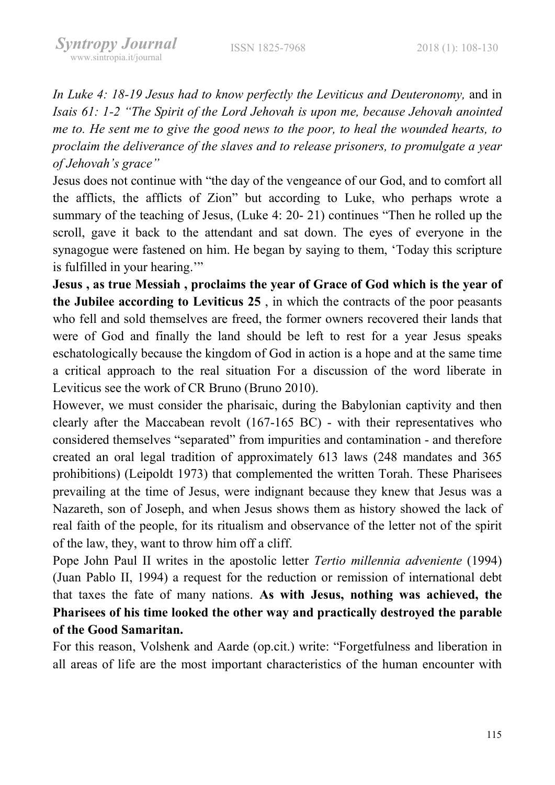In Luke 4: 18-19 Jesus had to know perfectly the Leviticus and Deuteronomy, and in Isais 61: 1-2 "The Spirit of the Lord Jehovah is upon me, because Jehovah anointed me to. He sent me to give the good news to the poor, to heal the wounded hearts, to proclaim the deliverance of the slaves and to release prisoners, to promulgate a year of Jehovah's grace"

Jesus does not continue with "the day of the vengeance of our God, and to comfort all the afflicts, the afflicts of Zion" but according to Luke, who perhaps wrote a summary of the teaching of Jesus, (Luke 4: 20- 21) continues "Then he rolled up the scroll, gave it back to the attendant and sat down. The eyes of everyone in the synagogue were fastened on him. He began by saying to them, 'Today this scripture is fulfilled in your hearing."

Jesus , as true Messiah , proclaims the year of Grace of God which is the year of the Jubilee according to Leviticus 25 , in which the contracts of the poor peasants who fell and sold themselves are freed, the former owners recovered their lands that were of God and finally the land should be left to rest for a year Jesus speaks eschatologically because the kingdom of God in action is a hope and at the same time a critical approach to the real situation For a discussion of the word liberate in Leviticus see the work of CR Bruno (Bruno 2010).

However, we must consider the pharisaic, during the Babylonian captivity and then clearly after the Maccabean revolt (167-165 BC) - with their representatives who considered themselves "separated" from impurities and contamination - and therefore created an oral legal tradition of approximately 613 laws (248 mandates and 365 prohibitions) (Leipoldt 1973) that complemented the written Torah. These Pharisees prevailing at the time of Jesus, were indignant because they knew that Jesus was a Nazareth, son of Joseph, and when Jesus shows them as history showed the lack of real faith of the people, for its ritualism and observance of the letter not of the spirit of the law, they, want to throw him off a cliff.

Pope John Paul II writes in the apostolic letter Tertio millennia adveniente (1994) (Juan Pablo II, 1994) a request for the reduction or remission of international debt that taxes the fate of many nations. As with Jesus, nothing was achieved, the Pharisees of his time looked the other way and practically destroyed the parable of the Good Samaritan.

For this reason, Volshenk and Aarde (op.cit.) write: "Forgetfulness and liberation in all areas of life are the most important characteristics of the human encounter with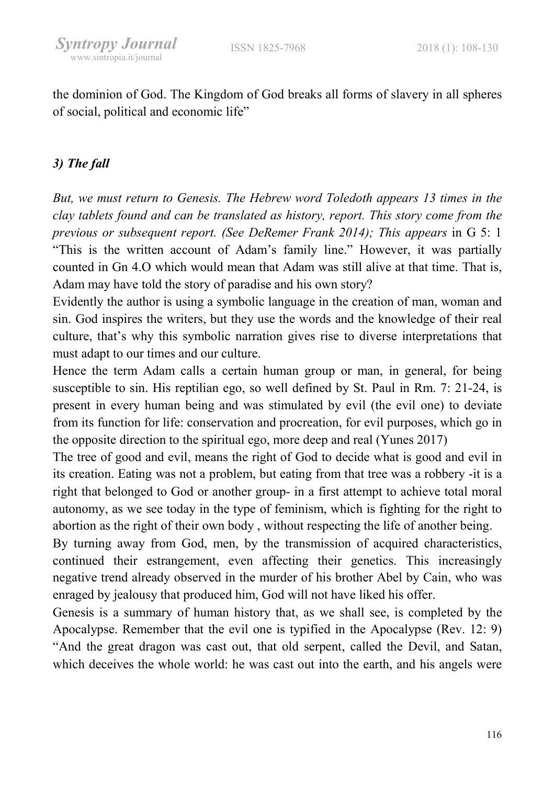the dominion of God. The Kingdom of God breaks all forms of slavery in all spheres of social, political and economic life"

## 3) The fall

But, we must return to Genesis. The Hebrew word Toledoth appears 13 times in the clay tablets found and can be translated as history, report. This story come from the previous or subsequent report. (See DeRemer Frank 2014); This appears in G 5: 1 "This is the written account of Adam's family line." However, it was partially counted in Gn 4.O which would mean that Adam was still alive at that time. That is, Adam may have told the story of paradise and his own story?

Evidently the author is using a symbolic language in the creation of man, woman and sin. God inspires the writers, but they use the words and the knowledge of their real culture, that's why this symbolic narration gives rise to diverse interpretations that must adapt to our times and our culture.

Hence the term Adam calls a certain human group or man, in general, for being susceptible to sin. His reptilian ego, so well defined by St. Paul in Rm. 7: 21-24, is present in every human being and was stimulated by evil (the evil one) to deviate from its function for life: conservation and procreation, for evil purposes, which go in the opposite direction to the spiritual ego, more deep and real (Yunes 2017)

The tree of good and evil, means the right of God to decide what is good and evil in its creation. Eating was not a problem, but eating from that tree was a robbery -it is a right that belonged to God or another group- in a first attempt to achieve total moral autonomy, as we see today in the type of feminism, which is fighting for the right to abortion as the right of their own body , without respecting the life of another being.

By turning away from God, men, by the transmission of acquired characteristics, continued their estrangement, even affecting their genetics. This increasingly negative trend already observed in the murder of his brother Abel by Cain, who was enraged by jealousy that produced him, God will not have liked his offer.

Genesis is a summary of human history that, as we shall see, is completed by the Apocalypse. Remember that the evil one is typified in the Apocalypse (Rev. 12: 9) "And the great dragon was cast out, that old serpent, called the Devil, and Satan, which deceives the whole world: he was cast out into the earth, and his angels were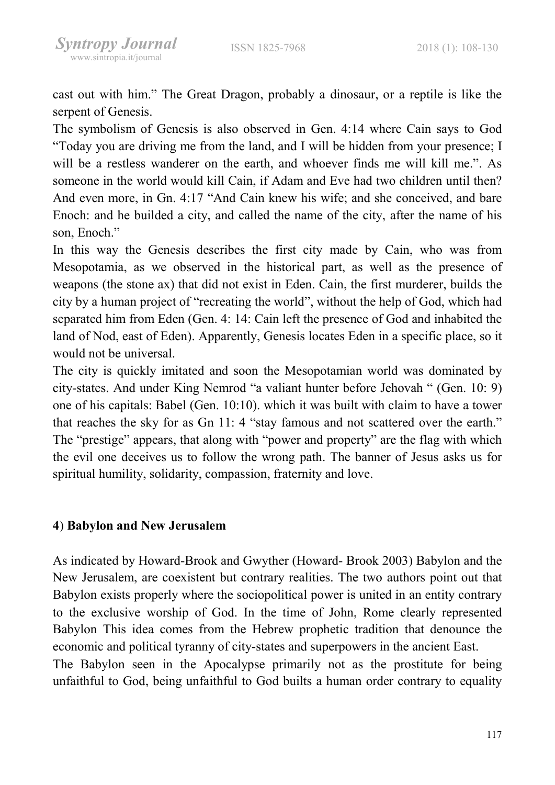cast out with him." The Great Dragon, probably a dinosaur, or a reptile is like the serpent of Genesis.

The symbolism of Genesis is also observed in Gen. 4:14 where Cain says to God "Today you are driving me from the land, and I will be hidden from your presence; I will be a restless wanderer on the earth, and whoever finds me will kill me.". As someone in the world would kill Cain, if Adam and Eve had two children until then? And even more, in Gn. 4:17 "And Cain knew his wife; and she conceived, and bare Enoch: and he builded a city, and called the name of the city, after the name of his son, Enoch."

In this way the Genesis describes the first city made by Cain, who was from Mesopotamia, as we observed in the historical part, as well as the presence of weapons (the stone ax) that did not exist in Eden. Cain, the first murderer, builds the city by a human project of "recreating the world", without the help of God, which had separated him from Eden (Gen. 4: 14: Cain left the presence of God and inhabited the land of Nod, east of Eden). Apparently, Genesis locates Eden in a specific place, so it would not be universal.

The city is quickly imitated and soon the Mesopotamian world was dominated by city-states. And under King Nemrod "a valiant hunter before Jehovah " (Gen. 10: 9) one of his capitals: Babel (Gen. 10:10). which it was built with claim to have a tower that reaches the sky for as Gn 11: 4 "stay famous and not scattered over the earth." The "prestige" appears, that along with "power and property" are the flag with which the evil one deceives us to follow the wrong path. The banner of Jesus asks us for spiritual humility, solidarity, compassion, fraternity and love.

#### 4) Babylon and New Jerusalem

As indicated by Howard-Brook and Gwyther (Howard- Brook 2003) Babylon and the New Jerusalem, are coexistent but contrary realities. The two authors point out that Babylon exists properly where the sociopolitical power is united in an entity contrary to the exclusive worship of God. In the time of John, Rome clearly represented Babylon This idea comes from the Hebrew prophetic tradition that denounce the economic and political tyranny of city-states and superpowers in the ancient East. The Babylon seen in the Apocalypse primarily not as the prostitute for being unfaithful to God, being unfaithful to God builts a human order contrary to equality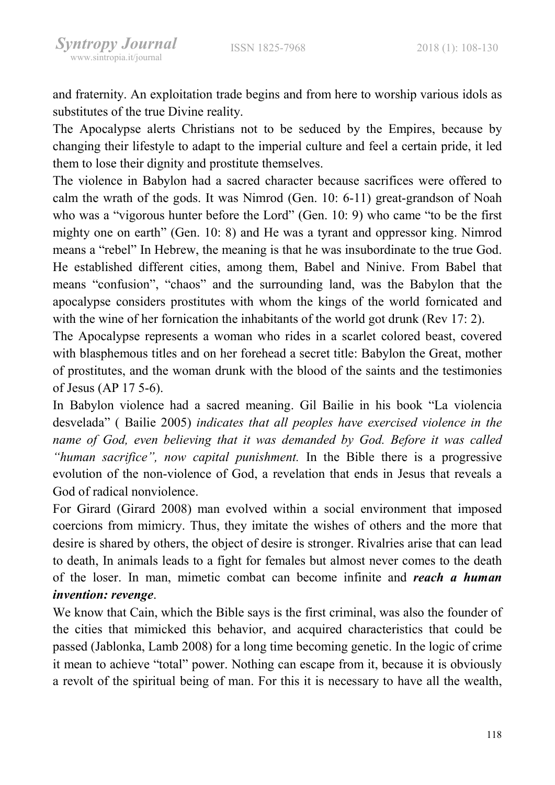and fraternity. An exploitation trade begins and from here to worship various idols as substitutes of the true Divine reality.

The Apocalypse alerts Christians not to be seduced by the Empires, because by changing their lifestyle to adapt to the imperial culture and feel a certain pride, it led them to lose their dignity and prostitute themselves.

The violence in Babylon had a sacred character because sacrifices were offered to calm the wrath of the gods. It was Nimrod (Gen. 10: 6-11) great-grandson of Noah who was a "vigorous hunter before the Lord" (Gen. 10: 9) who came "to be the first mighty one on earth" (Gen. 10: 8) and He was a tyrant and oppressor king. Nimrod means a "rebel" In Hebrew, the meaning is that he was insubordinate to the true God. He established different cities, among them, Babel and Ninive. From Babel that means "confusion", "chaos" and the surrounding land, was the Babylon that the apocalypse considers prostitutes with whom the kings of the world fornicated and with the wine of her fornication the inhabitants of the world got drunk (Rev 17: 2).

The Apocalypse represents a woman who rides in a scarlet colored beast, covered with blasphemous titles and on her forehead a secret title: Babylon the Great, mother of prostitutes, and the woman drunk with the blood of the saints and the testimonies of Jesus (AP 17 5-6).

In Babylon violence had a sacred meaning. Gil Bailie in his book "La violencia desvelada" ( Bailie 2005) indicates that all peoples have exercised violence in the name of God, even believing that it was demanded by God. Before it was called "human sacrifice", now capital punishment. In the Bible there is a progressive evolution of the non-violence of God, a revelation that ends in Jesus that reveals a God of radical nonviolence.

For Girard (Girard 2008) man evolved within a social environment that imposed coercions from mimicry. Thus, they imitate the wishes of others and the more that desire is shared by others, the object of desire is stronger. Rivalries arise that can lead to death, In animals leads to a fight for females but almost never comes to the death of the loser. In man, mimetic combat can become infinite and reach a human invention: revenge.

We know that Cain, which the Bible says is the first criminal, was also the founder of the cities that mimicked this behavior, and acquired characteristics that could be passed (Jablonka, Lamb 2008) for a long time becoming genetic. In the logic of crime it mean to achieve "total" power. Nothing can escape from it, because it is obviously a revolt of the spiritual being of man. For this it is necessary to have all the wealth,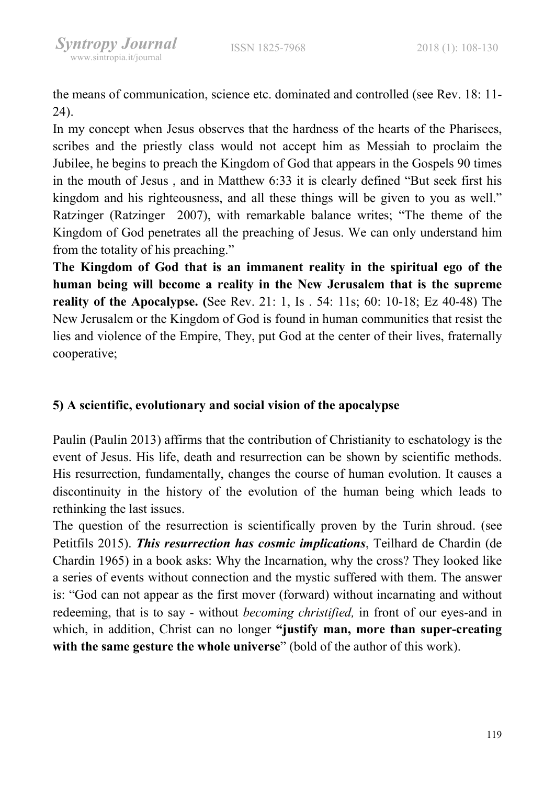the means of communication, science etc. dominated and controlled (see Rev. 18: 11- 24).

In my concept when Jesus observes that the hardness of the hearts of the Pharisees, scribes and the priestly class would not accept him as Messiah to proclaim the Jubilee, he begins to preach the Kingdom of God that appears in the Gospels 90 times in the mouth of Jesus , and in Matthew 6:33 it is clearly defined "But seek first his kingdom and his righteousness, and all these things will be given to you as well." Ratzinger (Ratzinger 2007), with remarkable balance writes; "The theme of the Kingdom of God penetrates all the preaching of Jesus. We can only understand him from the totality of his preaching."

The Kingdom of God that is an immanent reality in the spiritual ego of the human being will become a reality in the New Jerusalem that is the supreme reality of the Apocalypse. (See Rev. 21: 1, Is . 54: 11s; 60: 10-18; Ez 40-48) The New Jerusalem or the Kingdom of God is found in human communities that resist the lies and violence of the Empire, They, put God at the center of their lives, fraternally cooperative;

#### 5) A scientific, evolutionary and social vision of the apocalypse

Paulin (Paulin 2013) affirms that the contribution of Christianity to eschatology is the event of Jesus. His life, death and resurrection can be shown by scientific methods. His resurrection, fundamentally, changes the course of human evolution. It causes a discontinuity in the history of the evolution of the human being which leads to rethinking the last issues.

The question of the resurrection is scientifically proven by the Turin shroud. (see Petitfils 2015). This resurrection has cosmic implications, Teilhard de Chardin (de Chardin 1965) in a book asks: Why the Incarnation, why the cross? They looked like a series of events without connection and the mystic suffered with them. The answer is: "God can not appear as the first mover (forward) without incarnating and without redeeming, that is to say - without becoming christified, in front of our eyes-and in which, in addition, Christ can no longer "justify man, more than super-creating with the same gesture the whole universe" (bold of the author of this work).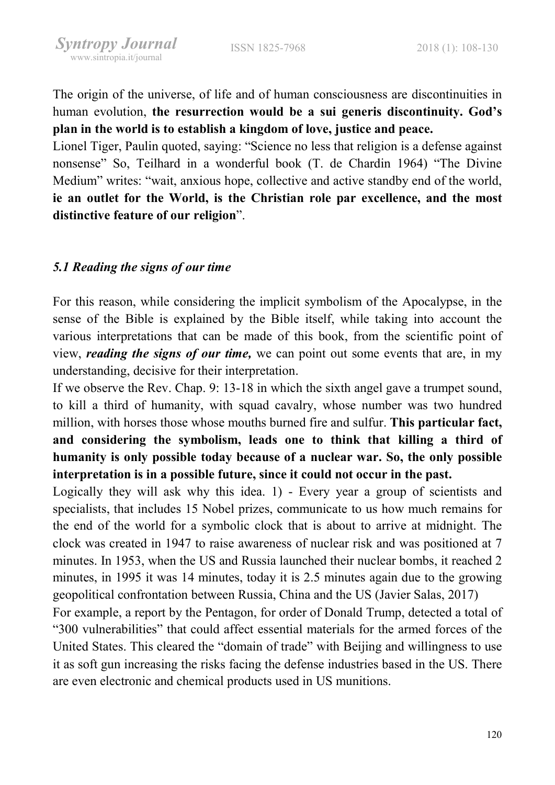The origin of the universe, of life and of human consciousness are discontinuities in human evolution, the resurrection would be a sui generis discontinuity. God's plan in the world is to establish a kingdom of love, justice and peace.

Lionel Tiger, Paulin quoted, saying: "Science no less that religion is a defense against nonsense" So, Teilhard in a wonderful book (T. de Chardin 1964) "The Divine Medium" writes: "wait, anxious hope, collective and active standby end of the world, ie an outlet for the World, is the Christian role par excellence, and the most distinctive feature of our religion".

#### 5.1 Reading the signs of our time

For this reason, while considering the implicit symbolism of the Apocalypse, in the sense of the Bible is explained by the Bible itself, while taking into account the various interpretations that can be made of this book, from the scientific point of view, *reading the signs of our time*, we can point out some events that are, in my understanding, decisive for their interpretation.

If we observe the Rev. Chap. 9: 13-18 in which the sixth angel gave a trumpet sound, to kill a third of humanity, with squad cavalry, whose number was two hundred million, with horses those whose mouths burned fire and sulfur. This particular fact, and considering the symbolism, leads one to think that killing a third of humanity is only possible today because of a nuclear war. So, the only possible interpretation is in a possible future, since it could not occur in the past.

Logically they will ask why this idea. 1) - Every year a group of scientists and specialists, that includes 15 Nobel prizes, communicate to us how much remains for the end of the world for a symbolic clock that is about to arrive at midnight. The clock was created in 1947 to raise awareness of nuclear risk and was positioned at 7 minutes. In 1953, when the US and Russia launched their nuclear bombs, it reached 2 minutes, in 1995 it was 14 minutes, today it is 2.5 minutes again due to the growing geopolitical confrontation between Russia, China and the US (Javier Salas, 2017)

For example, a report by the Pentagon, for order of Donald Trump, detected a total of "300 vulnerabilities" that could affect essential materials for the armed forces of the United States. This cleared the "domain of trade" with Beijing and willingness to use it as soft gun increasing the risks facing the defense industries based in the US. There are even electronic and chemical products used in US munitions.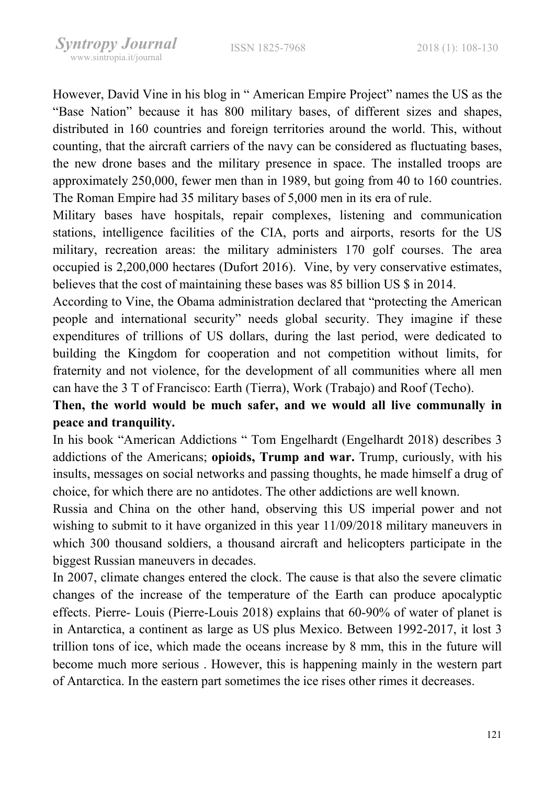However, David Vine in his blog in " American Empire Project" names the US as the "Base Nation" because it has 800 military bases, of different sizes and shapes, distributed in 160 countries and foreign territories around the world. This, without counting, that the aircraft carriers of the navy can be considered as fluctuating bases, the new drone bases and the military presence in space. The installed troops are approximately 250,000, fewer men than in 1989, but going from 40 to 160 countries. The Roman Empire had 35 military bases of 5,000 men in its era of rule.

Military bases have hospitals, repair complexes, listening and communication stations, intelligence facilities of the CIA, ports and airports, resorts for the US military, recreation areas: the military administers 170 golf courses. The area occupied is 2,200,000 hectares (Dufort 2016). Vine, by very conservative estimates, believes that the cost of maintaining these bases was 85 billion US \$ in 2014.

According to Vine, the Obama administration declared that "protecting the American people and international security" needs global security. They imagine if these expenditures of trillions of US dollars, during the last period, were dedicated to building the Kingdom for cooperation and not competition without limits, for fraternity and not violence, for the development of all communities where all men can have the 3 T of Francisco: Earth (Tierra), Work (Trabajo) and Roof (Techo).

### Then, the world would be much safer, and we would all live communally in peace and tranquility.

In his book "American Addictions " Tom Engelhardt (Engelhardt 2018) describes 3 addictions of the Americans; opioids, Trump and war. Trump, curiously, with his insults, messages on social networks and passing thoughts, he made himself a drug of choice, for which there are no antidotes. The other addictions are well known.

Russia and China on the other hand, observing this US imperial power and not wishing to submit to it have organized in this year 11/09/2018 military maneuvers in which 300 thousand soldiers, a thousand aircraft and helicopters participate in the biggest Russian maneuvers in decades.

In 2007, climate changes entered the clock. The cause is that also the severe climatic changes of the increase of the temperature of the Earth can produce apocalyptic effects. Pierre- Louis (Pierre-Louis 2018) explains that 60-90% of water of planet is in Antarctica, a continent as large as US plus Mexico. Between 1992-2017, it lost 3 trillion tons of ice, which made the oceans increase by 8 mm, this in the future will become much more serious . However, this is happening mainly in the western part of Antarctica. In the eastern part sometimes the ice rises other rimes it decreases.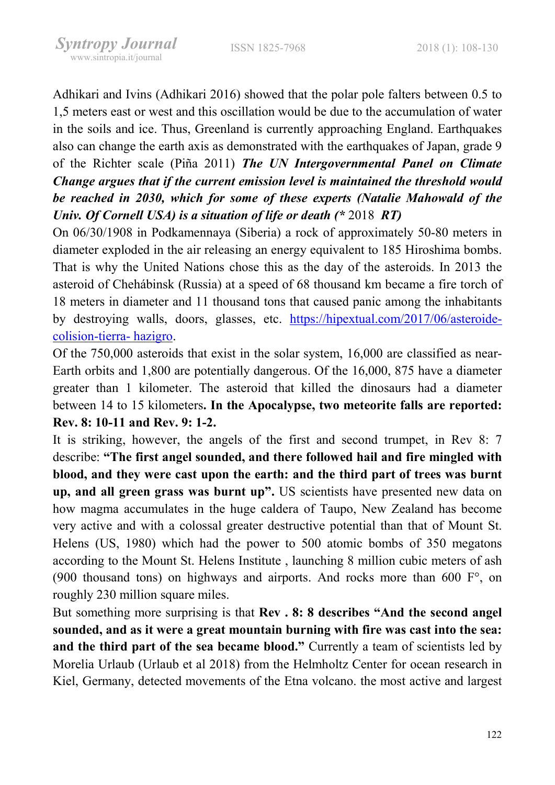Adhikari and Ivins (Adhikari 2016) showed that the polar pole falters between 0.5 to 1,5 meters east or west and this oscillation would be due to the accumulation of water in the soils and ice. Thus, Greenland is currently approaching England. Earthquakes also can change the earth axis as demonstrated with the earthquakes of Japan, grade 9 of the Richter scale (Piña 2011) The UN Intergovernmental Panel on Climate Change argues that if the current emission level is maintained the threshold would be reached in 2030, which for some of these experts (Natalie Mahowald of the Univ. Of Cornell USA) is a situation of life or death (\* 2018 RT)

On 06/30/1908 in Podkamennaya (Siberia) a rock of approximately 50-80 meters in diameter exploded in the air releasing an energy equivalent to 185 Hiroshima bombs. That is why the United Nations chose this as the day of the asteroids. In 2013 the asteroid of Chehábinsk (Russia) at a speed of 68 thousand km became a fire torch of 18 meters in diameter and 11 thousand tons that caused panic among the inhabitants by destroying walls, doors, glasses, etc. https://hipextual.com/2017/06/asteroidecolision-tierra- hazigro.

Of the 750,000 asteroids that exist in the solar system, 16,000 are classified as near-Earth orbits and 1,800 are potentially dangerous. Of the 16,000, 875 have a diameter greater than 1 kilometer. The asteroid that killed the dinosaurs had a diameter between 14 to 15 kilometers. In the Apocalypse, two meteorite falls are reported: Rev. 8: 10-11 and Rev. 9: 1-2.

It is striking, however, the angels of the first and second trumpet, in Rev 8: 7 describe: "The first angel sounded, and there followed hail and fire mingled with blood, and they were cast upon the earth: and the third part of trees was burnt up, and all green grass was burnt up". US scientists have presented new data on how magma accumulates in the huge caldera of Taupo, New Zealand has become very active and with a colossal greater destructive potential than that of Mount St. Helens (US, 1980) which had the power to 500 atomic bombs of 350 megatons according to the Mount St. Helens Institute , launching 8 million cubic meters of ash (900 thousand tons) on highways and airports. And rocks more than 600 F°, on roughly 230 million square miles.

But something more surprising is that Rev . 8: 8 describes "And the second angel sounded, and as it were a great mountain burning with fire was cast into the sea: and the third part of the sea became blood." Currently a team of scientists led by Morelia Urlaub (Urlaub et al 2018) from the Helmholtz Center for ocean research in Kiel, Germany, detected movements of the Etna volcano. the most active and largest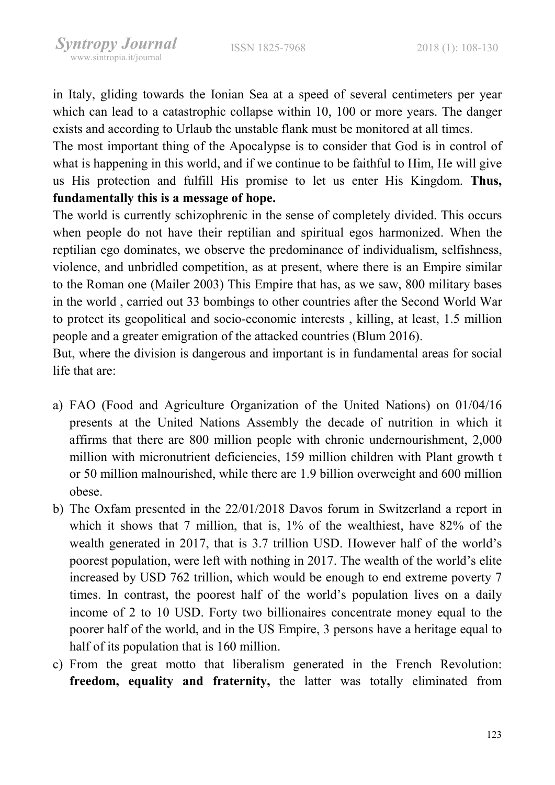in Italy, gliding towards the Ionian Sea at a speed of several centimeters per year which can lead to a catastrophic collapse within 10, 100 or more years. The danger exists and according to Urlaub the unstable flank must be monitored at all times.

The most important thing of the Apocalypse is to consider that God is in control of what is happening in this world, and if we continue to be faithful to Him, He will give us His protection and fulfill His promise to let us enter His Kingdom. Thus, fundamentally this is a message of hope.

The world is currently schizophrenic in the sense of completely divided. This occurs when people do not have their reptilian and spiritual egos harmonized. When the reptilian ego dominates, we observe the predominance of individualism, selfishness, violence, and unbridled competition, as at present, where there is an Empire similar to the Roman one (Mailer 2003) This Empire that has, as we saw, 800 military bases in the world , carried out 33 bombings to other countries after the Second World War to protect its geopolitical and socio-economic interests , killing, at least, 1.5 million people and a greater emigration of the attacked countries (Blum 2016).

But, where the division is dangerous and important is in fundamental areas for social life that are:

- a) FAO (Food and Agriculture Organization of the United Nations) on 01/04/16 presents at the United Nations Assembly the decade of nutrition in which it affirms that there are 800 million people with chronic undernourishment, 2,000 million with micronutrient deficiencies, 159 million children with Plant growth t or 50 million malnourished, while there are 1.9 billion overweight and 600 million obese.
- b) The Oxfam presented in the 22/01/2018 Davos forum in Switzerland a report in which it shows that 7 million, that is, 1% of the wealthiest, have 82% of the wealth generated in 2017, that is 3.7 trillion USD. However half of the world's poorest population, were left with nothing in 2017. The wealth of the world's elite increased by USD 762 trillion, which would be enough to end extreme poverty 7 times. In contrast, the poorest half of the world's population lives on a daily income of 2 to 10 USD. Forty two billionaires concentrate money equal to the poorer half of the world, and in the US Empire, 3 persons have a heritage equal to half of its population that is 160 million.
- c) From the great motto that liberalism generated in the French Revolution: freedom, equality and fraternity, the latter was totally eliminated from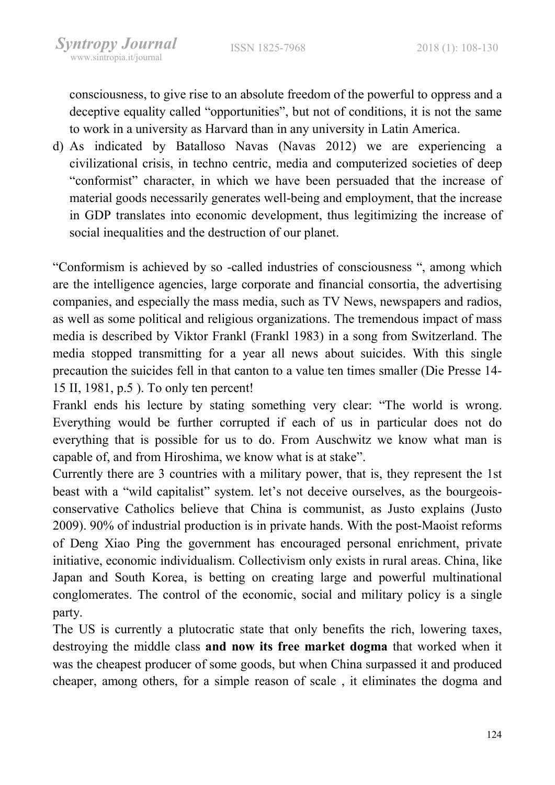consciousness, to give rise to an absolute freedom of the powerful to oppress and a deceptive equality called "opportunities", but not of conditions, it is not the same to work in a university as Harvard than in any university in Latin America.

d) As indicated by Batalloso Navas (Navas 2012) we are experiencing a civilizational crisis, in techno centric, media and computerized societies of deep "conformist" character, in which we have been persuaded that the increase of material goods necessarily generates well-being and employment, that the increase in GDP translates into economic development, thus legitimizing the increase of social inequalities and the destruction of our planet.

"Conformism is achieved by so -called industries of consciousness ", among which are the intelligence agencies, large corporate and financial consortia, the advertising companies, and especially the mass media, such as TV News, newspapers and radios, as well as some political and religious organizations. The tremendous impact of mass media is described by Viktor Frankl (Frankl 1983) in a song from Switzerland. The media stopped transmitting for a year all news about suicides. With this single precaution the suicides fell in that canton to a value ten times smaller (Die Presse 14- 15 II, 1981, p.5 ). To only ten percent!

Frankl ends his lecture by stating something very clear: "The world is wrong. Everything would be further corrupted if each of us in particular does not do everything that is possible for us to do. From Auschwitz we know what man is capable of, and from Hiroshima, we know what is at stake".

Currently there are 3 countries with a military power, that is, they represent the 1st beast with a "wild capitalist" system. let's not deceive ourselves, as the bourgeoisconservative Catholics believe that China is communist, as Justo explains (Justo 2009). 90% of industrial production is in private hands. With the post-Maoist reforms of Deng Xiao Ping the government has encouraged personal enrichment, private initiative, economic individualism. Collectivism only exists in rural areas. China, like Japan and South Korea, is betting on creating large and powerful multinational conglomerates. The control of the economic, social and military policy is a single party.

The US is currently a plutocratic state that only benefits the rich, lowering taxes, destroying the middle class and now its free market dogma that worked when it was the cheapest producer of some goods, but when China surpassed it and produced cheaper, among others, for a simple reason of scale , it eliminates the dogma and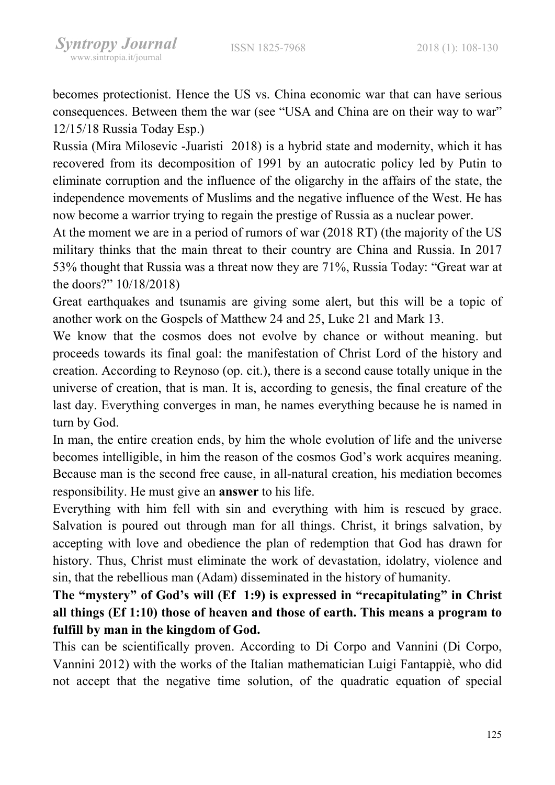becomes protectionist. Hence the US vs. China economic war that can have serious consequences. Between them the war (see "USA and China are on their way to war" 12/15/18 Russia Today Esp.)

Russia (Mira Milosevic -Juaristi 2018) is a hybrid state and modernity, which it has recovered from its decomposition of 1991 by an autocratic policy led by Putin to eliminate corruption and the influence of the oligarchy in the affairs of the state, the independence movements of Muslims and the negative influence of the West. He has now become a warrior trying to regain the prestige of Russia as a nuclear power.

At the moment we are in a period of rumors of war (2018 RT) (the majority of the US military thinks that the main threat to their country are China and Russia. In 2017 53% thought that Russia was a threat now they are 71%, Russia Today: "Great war at the doors?" 10/18/2018)

Great earthquakes and tsunamis are giving some alert, but this will be a topic of another work on the Gospels of Matthew 24 and 25, Luke 21 and Mark 13.

We know that the cosmos does not evolve by chance or without meaning. but proceeds towards its final goal: the manifestation of Christ Lord of the history and creation. According to Reynoso (op. cit.), there is a second cause totally unique in the universe of creation, that is man. It is, according to genesis, the final creature of the last day. Everything converges in man, he names everything because he is named in turn by God.

In man, the entire creation ends, by him the whole evolution of life and the universe becomes intelligible, in him the reason of the cosmos God's work acquires meaning. Because man is the second free cause, in all-natural creation, his mediation becomes responsibility. He must give an answer to his life.

Everything with him fell with sin and everything with him is rescued by grace. Salvation is poured out through man for all things. Christ, it brings salvation, by accepting with love and obedience the plan of redemption that God has drawn for history. Thus, Christ must eliminate the work of devastation, idolatry, violence and sin, that the rebellious man (Adam) disseminated in the history of humanity.

The "mystery" of God's will (Ef 1:9) is expressed in "recapitulating" in Christ all things (Ef 1:10) those of heaven and those of earth. This means a program to fulfill by man in the kingdom of God.

This can be scientifically proven. According to Di Corpo and Vannini (Di Corpo, Vannini 2012) with the works of the Italian mathematician Luigi Fantappiè, who did not accept that the negative time solution, of the quadratic equation of special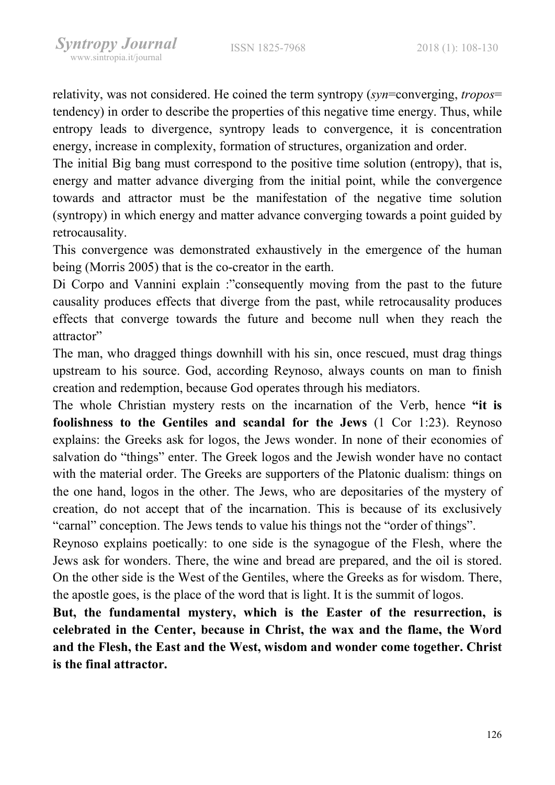relativity, was not considered. He coined the term syntropy (syn=converging, tropos= tendency) in order to describe the properties of this negative time energy. Thus, while entropy leads to divergence, syntropy leads to convergence, it is concentration energy, increase in complexity, formation of structures, organization and order.

The initial Big bang must correspond to the positive time solution (entropy), that is, energy and matter advance diverging from the initial point, while the convergence towards and attractor must be the manifestation of the negative time solution (syntropy) in which energy and matter advance converging towards a point guided by retrocausality.

This convergence was demonstrated exhaustively in the emergence of the human being (Morris 2005) that is the co-creator in the earth.

Di Corpo and Vannini explain :"consequently moving from the past to the future causality produces effects that diverge from the past, while retrocausality produces effects that converge towards the future and become null when they reach the attractor"

The man, who dragged things downhill with his sin, once rescued, must drag things upstream to his source. God, according Reynoso, always counts on man to finish creation and redemption, because God operates through his mediators.

The whole Christian mystery rests on the incarnation of the Verb, hence "it is foolishness to the Gentiles and scandal for the Jews (1 Cor 1:23). Reynoso explains: the Greeks ask for logos, the Jews wonder. In none of their economies of salvation do "things" enter. The Greek logos and the Jewish wonder have no contact with the material order. The Greeks are supporters of the Platonic dualism: things on the one hand, logos in the other. The Jews, who are depositaries of the mystery of creation, do not accept that of the incarnation. This is because of its exclusively "carnal" conception. The Jews tends to value his things not the "order of things".

Reynoso explains poetically: to one side is the synagogue of the Flesh, where the Jews ask for wonders. There, the wine and bread are prepared, and the oil is stored. On the other side is the West of the Gentiles, where the Greeks as for wisdom. There, the apostle goes, is the place of the word that is light. It is the summit of logos.

But, the fundamental mystery, which is the Easter of the resurrection, is celebrated in the Center, because in Christ, the wax and the flame, the Word and the Flesh, the East and the West, wisdom and wonder come together. Christ is the final attractor.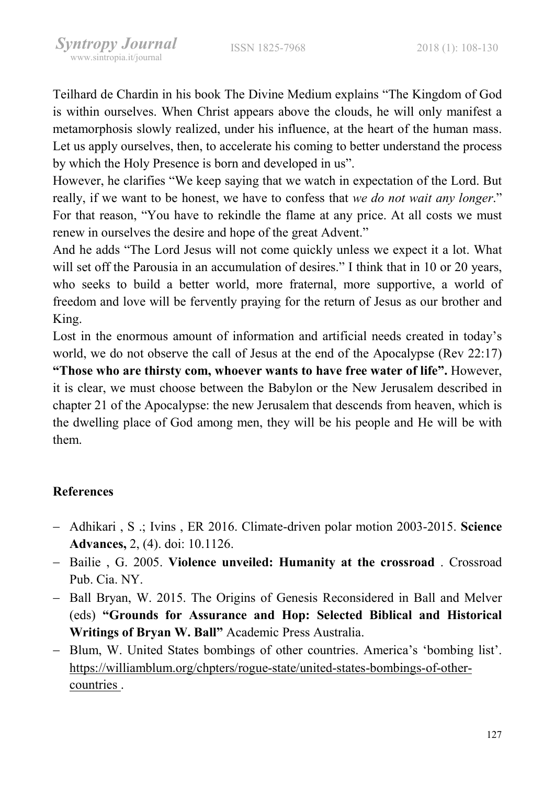Teilhard de Chardin in his book The Divine Medium explains "The Kingdom of God is within ourselves. When Christ appears above the clouds, he will only manifest a metamorphosis slowly realized, under his influence, at the heart of the human mass. Let us apply ourselves, then, to accelerate his coming to better understand the process by which the Holy Presence is born and developed in us".

However, he clarifies "We keep saying that we watch in expectation of the Lord. But really, if we want to be honest, we have to confess that we do not wait any longer." For that reason, "You have to rekindle the flame at any price. At all costs we must renew in ourselves the desire and hope of the great Advent."

And he adds "The Lord Jesus will not come quickly unless we expect it a lot. What will set off the Parousia in an accumulation of desires." I think that in 10 or 20 years, who seeks to build a better world, more fraternal, more supportive, a world of freedom and love will be fervently praying for the return of Jesus as our brother and King.

Lost in the enormous amount of information and artificial needs created in today's world, we do not observe the call of Jesus at the end of the Apocalypse (Rev 22:17) "Those who are thirsty com, whoever wants to have free water of life". However, it is clear, we must choose between the Babylon or the New Jerusalem described in chapter 21 of the Apocalypse: the new Jerusalem that descends from heaven, which is the dwelling place of God among men, they will be his people and He will be with them.

### References

- Adhikari, S .; Ivins, ER 2016. Climate-driven polar motion 2003-2015. Science Advances, 2, (4). doi: 10.1126.
- Bailie, G. 2005. Violence unveiled: Humanity at the crossroad. Crossroad Pub. Cia. NY.
- Ball Bryan, W. 2015. The Origins of Genesis Reconsidered in Ball and Melver (eds) "Grounds for Assurance and Hop: Selected Biblical and Historical Writings of Bryan W. Ball" Academic Press Australia.
- Blum, W. United States bombings of other countries. America's 'bombing list'. https://williamblum.org/chpters/rogue-state/united-states-bombings-of-othercountries .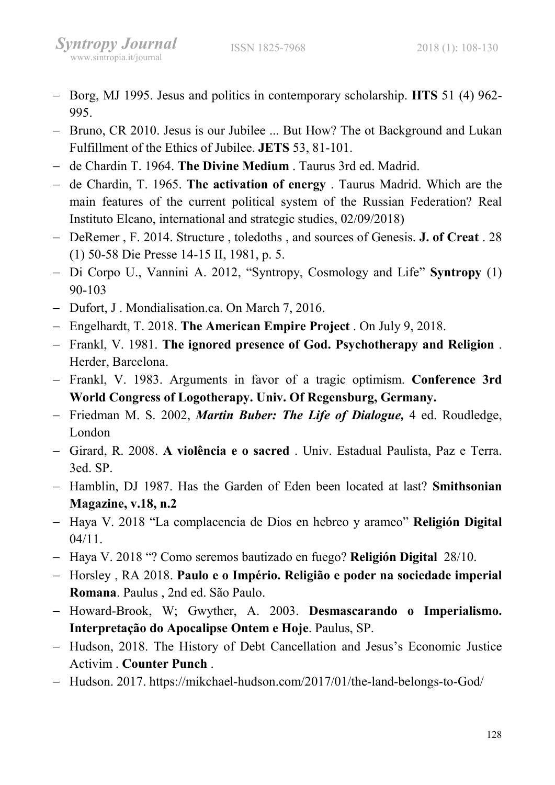- Borg, MJ 1995. Jesus and politics in contemporary scholarship. HTS 51 (4) 962-995.
- Bruno, CR 2010. Jesus is our Jubilee ... But How? The ot Background and Lukan Fulfillment of the Ethics of Jubilee. JETS 53, 81-101.
- de Chardin T. 1964. The Divine Medium. Taurus 3rd ed. Madrid.
- $-$  de Chardin, T. 1965. The activation of energy . Taurus Madrid. Which are the main features of the current political system of the Russian Federation? Real Instituto Elcano, international and strategic studies, 02/09/2018)
- DeRemer, F. 2014. Structure, toledoths, and sources of Genesis. **J. of Creat** . 28 (1) 50-58 Die Presse 14-15 II, 1981, p. 5.
- Di Corpo U., Vannini A. 2012, "Syntropy, Cosmology and Life" Syntropy (1) 90-103
- Dufort, J. Mondialisation.ca. On March 7, 2016.
- Engelhardt, T. 2018. The American Empire Project. On July 9, 2018.
- Frankl, V. 1981. The ignored presence of God. Psychotherapy and Religion. Herder, Barcelona.
- Frankl, V. 1983. Arguments in favor of a tragic optimism. Conference 3rd World Congress of Logotherapy. Univ. Of Regensburg, Germany.
- Friedman M. S. 2002, Martin Buber: The Life of Dialogue, 4 ed. Roudledge, London
- Girard, R. 2008. A violência e o sacred . Univ. Estadual Paulista, Paz e Terra. 3ed. SP.
- Hamblin, DJ 1987. Has the Garden of Eden been located at last? Smithsonian Magazine, v.18, n.2
- Haya V. 2018 "La complacencia de Dios en hebreo y arameo" Religión Digital 04/11.
- Haya V. 2018 "? Como seremos bautizado en fuego? Religión Digital 28/10.
- Horsley , RA 2018. Paulo e o Império. Religião e poder na sociedade imperial Romana. Paulus , 2nd ed. São Paulo.
- Howard-Brook, W; Gwyther, A. 2003. Desmascarando o Imperialismo. Interpretação do Apocalipse Ontem e Hoje. Paulus, SP.
- Hudson, 2018. The History of Debt Cancellation and Jesus's Economic Justice Activim . Counter Punch .
- Hudson. 2017. https://mikchael-hudson.com/2017/01/the-land-belongs-to-God/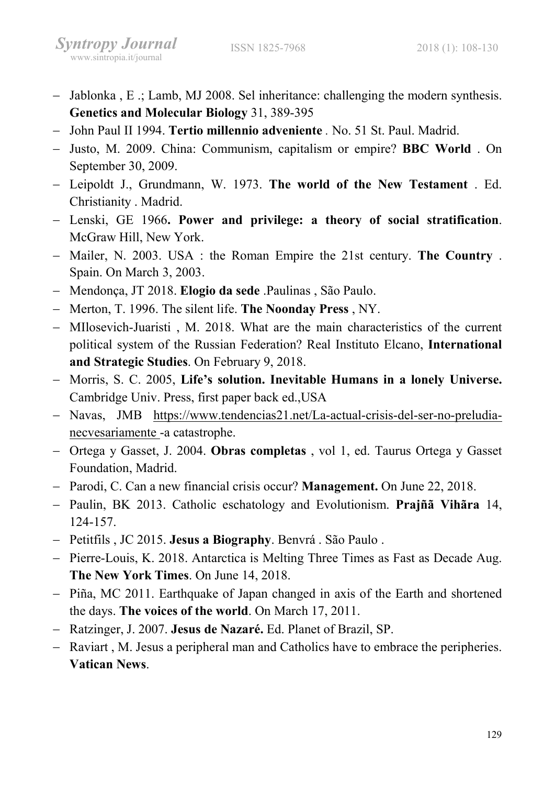- Jablonka, E .; Lamb, MJ 2008. Sel inheritance: challenging the modern synthesis. Genetics and Molecular Biology 31, 389-395
- John Paul II 1994. Tertio millennio adveniente . No. 51 St. Paul. Madrid.
- Justo, M. 2009. China: Communism, capitalism or empire? BBC World . On September 30, 2009.
- Leipoldt J., Grundmann, W. 1973. The world of the New Testament . Ed. Christianity . Madrid.
- Lenski, GE 1966. Power and privilege: a theory of social stratification. McGraw Hill, New York.
- Mailer, N. 2003. USA: the Roman Empire the 21st century. The Country. Spain. On March 3, 2003.
- Mendonça, JT 2018. Elogio da sede .Paulinas , São Paulo.
- Merton, T. 1996. The silent life. The Noonday Press, NY.
- MIlosevich-Juaristi, M. 2018. What are the main characteristics of the current political system of the Russian Federation? Real Instituto Elcano, International and Strategic Studies. On February 9, 2018.
- Morris, S. C. 2005, Life's solution. Inevitable Humans in a lonely Universe. Cambridge Univ. Press, first paper back ed.,USA
- Navas, JMB https://www.tendencias21.net/La-actual-crisis-del-ser-no-preludianecvesariamente -a catastrophe.
- Ortega y Gasset, J. 2004. Obras completas, vol 1, ed. Taurus Ortega y Gasset Foundation, Madrid.
- Parodi, C. Can a new financial crisis occur? Management. On June 22, 2018.
- Paulin, BK 2013. Catholic eschatology and Evolutionism. Prajñã Vihãra 14, 124-157.
- Petitfils, JC 2015. Jesus a Biography. Benvrá. São Paulo.
- Pierre-Louis, K. 2018. Antarctica is Melting Three Times as Fast as Decade Aug. The New York Times. On June 14, 2018.
- Piña, MC 2011. Earthquake of Japan changed in axis of the Earth and shortened the days. The voices of the world. On March 17, 2011.
- Ratzinger, J. 2007. Jesus de Nazaré. Ed. Planet of Brazil, SP.
- Raviart, M. Jesus a peripheral man and Catholics have to embrace the peripheries. Vatican News.